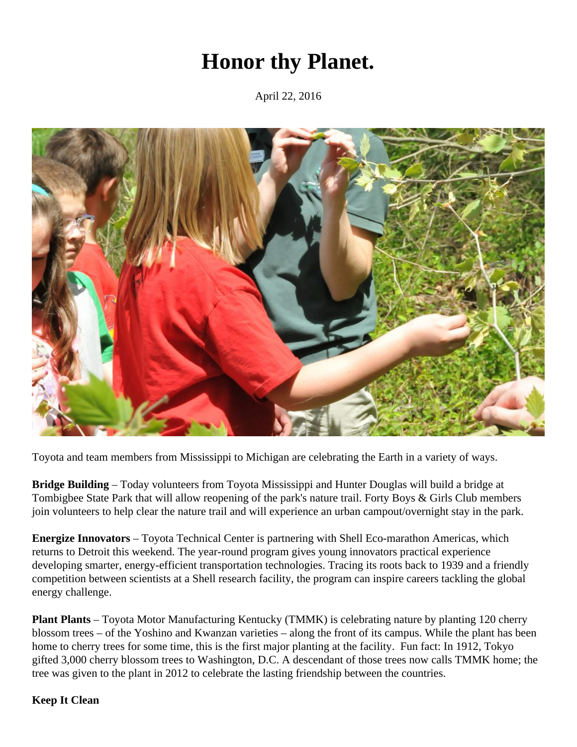## **Honor thy Planet.**

April 22, 2016



Toyota and team members from Mississippi to Michigan are celebrating the Earth in a variety of ways.

**Bridge Building** – Today volunteers from Toyota Mississippi and Hunter Douglas will build a bridge at Tombigbee State Park that will allow reopening of the park's nature trail. Forty Boys & Girls Club members join volunteers to help clear the nature trail and will experience an urban campout/overnight stay in the park.

**Energize Innovators** – Toyota Technical Center is partnering with Shell Eco-marathon Americas, which returns to Detroit this weekend. The year-round program gives young innovators practical experience developing smarter, energy-efficient transportation technologies. Tracing its roots back to 1939 and a friendly competition between scientists at a Shell research facility, the program can inspire careers tackling the global energy challenge.

**Plant Plants** – Toyota Motor Manufacturing Kentucky (TMMK) is celebrating nature by planting 120 cherry blossom trees – of the Yoshino and Kwanzan varieties – along the front of its campus. While the plant has been home to cherry trees for some time, this is the first major planting at the facility. Fun fact: In 1912, Tokyo gifted 3,000 cherry blossom trees to Washington, D.C. A descendant of those trees now calls TMMK home; the tree was given to the plant in 2012 to celebrate the lasting friendship between the countries.

## **Keep It Clean**